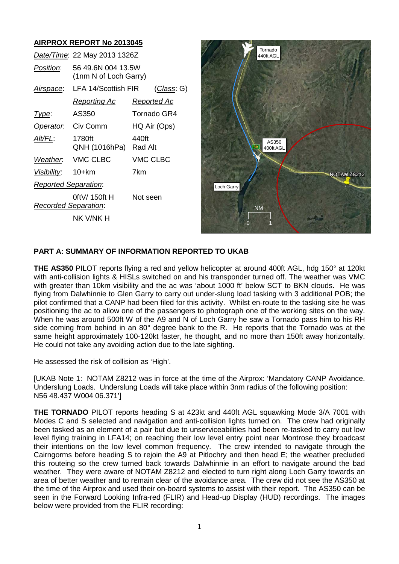# **AIRPROX REPORT No 2013045**

| Date/Time: 22 May 2013 1326Z                 |                    |
|----------------------------------------------|--------------------|
| 56 49.6N 004 13.5W<br>(1nm N of Loch Garry)  |                    |
| LFA 14/Scottish FIR                          | <u>(Class</u> : G) |
| <u>Reporting Ac</u>                          | <u>Reported Ac</u> |
| AS350                                        | Tornado GR4        |
| Civ Comm                                     | HQ Air (Ops)       |
| 1780ft<br>QNH (1016hPa)                      | 440ft<br>Rad Alt   |
| VMC CLBC                                     | <b>VMC CLBC</b>    |
| Visibility: 10+km                            | 7km                |
| <b>Reported Separation:</b>                  |                    |
| 0ftV/ 150ft H<br><b>Recorded Separation:</b> | Not seen           |
| nk v/nk h                                    |                    |
|                                              |                    |



#### **PART A: SUMMARY OF INFORMATION REPORTED TO UKAB**

**THE AS350** PILOT reports flying a red and yellow helicopter at around 400ft AGL, hdg 150° at 120kt with anti-collision lights & HISLs switched on and his transponder turned off. The weather was VMC with greater than 10km visibility and the ac was 'about 1000 ft' below SCT to BKN clouds. He was flying from Dalwhinnie to Glen Garry to carry out under-slung load tasking with 3 additional POB; the pilot confirmed that a CANP had been filed for this activity. Whilst en-route to the tasking site he was positioning the ac to allow one of the passengers to photograph one of the working sites on the way. When he was around 500ft W of the A9 and N of Loch Garry he saw a Tornado pass him to his RH side coming from behind in an 80° degree bank to the R. He reports that the Tornado was at the same height approximately 100-120kt faster, he thought, and no more than 150ft away horizontally. He could not take any avoiding action due to the late sighting.

He assessed the risk of collision as 'High'.

[UKAB Note 1: NOTAM Z8212 was in force at the time of the Airprox: 'Mandatory CANP Avoidance. Underslung Loads. Underslung Loads will take place within 3nm radius of the following position: N56 48.437 W004 06.371']

**THE TORNADO** PILOT reports heading S at 423kt and 440ft AGL squawking Mode 3/A 7001 with Modes C and S selected and navigation and anti-collision lights turned on. The crew had originally been tasked as an element of a pair but due to unserviceabilities had been re-tasked to carry out low level flying training in LFA14; on reaching their low level entry point near Montrose they broadcast their intentions on the low level common frequency. The crew intended to navigate through the Cairngorms before heading S to rejoin the A9 at Pitlochry and then head E; the weather precluded this routeing so the crew turned back towards Dalwhinnie in an effort to navigate around the bad weather. They were aware of NOTAM Z8212 and elected to turn right along Loch Garry towards an area of better weather and to remain clear of the avoidance area. The crew did not see the AS350 at the time of the Airprox and used their on-board systems to assist with their report. The AS350 can be seen in the Forward Looking Infra-red (FLIR) and Head-up Display (HUD) recordings. The images below were provided from the FLIR recording: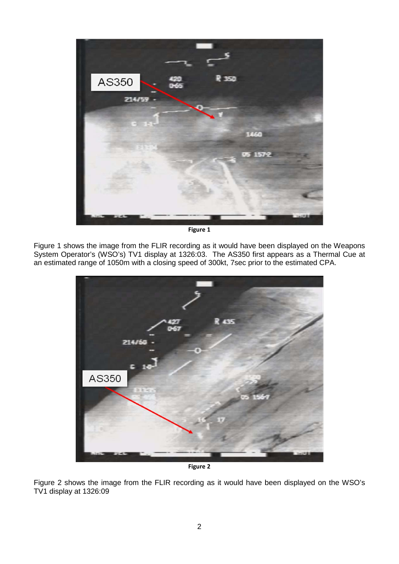

**Figure 1**

Figure 1 shows the image from the FLIR recording as it would have been displayed on the Weapons System Operator's (WSO's) TV1 display at 1326:03. The AS350 first appears as a Thermal Cue at an estimated range of 1050m with a closing speed of 300kt, 7sec prior to the estimated CPA.



**Figure 2**

Figure 2 shows the image from the FLIR recording as it would have been displayed on the WSO's TV1 display at 1326:09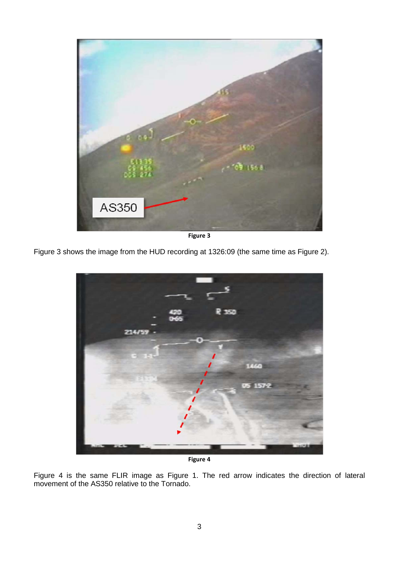

**Figure 3**

Figure 3 shows the image from the HUD recording at 1326:09 (the same time as Figure 2).



**Figure 4**

Figure 4 is the same FLIR image as Figure 1. The red arrow indicates the direction of lateral movement of the AS350 relative to the Tornado.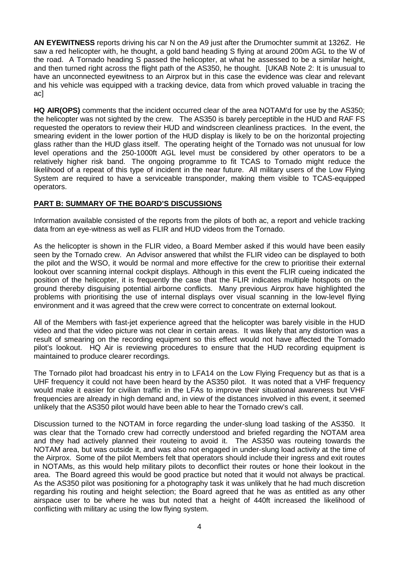**AN EYEWITNESS** reports driving his car N on the A9 just after the Drumochter summit at 1326Z. He saw a red helicopter with, he thought, a gold band heading S flying at around 200m AGL to the W of the road. A Tornado heading S passed the helicopter, at what he assessed to be a similar height, and then turned right across the flight path of the AS350, he thought. [UKAB Note 2: It is unusual to have an unconnected eyewitness to an Airprox but in this case the evidence was clear and relevant and his vehicle was equipped with a tracking device, data from which proved valuable in tracing the ac]

**HQ AIR(OPS)** comments that the incident occurred clear of the area NOTAM'd for use by the AS350; the helicopter was not sighted by the crew. The AS350 is barely perceptible in the HUD and RAF FS requested the operators to review their HUD and windscreen cleanliness practices. In the event, the smearing evident in the lower portion of the HUD display is likely to be on the horizontal projecting glass rather than the HUD glass itself. The operating height of the Tornado was not unusual for low level operations and the 250-1000ft AGL level must be considered by other operators to be a relatively higher risk band. The ongoing programme to fit TCAS to Tornado might reduce the likelihood of a repeat of this type of incident in the near future. All military users of the Low Flying System are required to have a serviceable transponder, making them visible to TCAS-equipped operators.

## **PART B: SUMMARY OF THE BOARD'S DISCUSSIONS**

Information available consisted of the reports from the pilots of both ac, a report and vehicle tracking data from an eye-witness as well as FLIR and HUD videos from the Tornado.

As the helicopter is shown in the FLIR video, a Board Member asked if this would have been easily seen by the Tornado crew. An Advisor answered that whilst the FLIR video can be displayed to both the pilot and the WSO, it would be normal and more effective for the crew to prioritise their external lookout over scanning internal cockpit displays. Although in this event the FLIR cueing indicated the position of the helicopter, it is frequently the case that the FLIR indicates multiple hotspots on the ground thereby disguising potential airborne conflicts. Many previous Airprox have highlighted the problems with prioritising the use of internal displays over visual scanning in the low-level flying environment and it was agreed that the crew were correct to concentrate on external lookout.

All of the Members with fast-jet experience agreed that the helicopter was barely visible in the HUD video and that the video picture was not clear in certain areas. It was likely that any distortion was a result of smearing on the recording equipment so this effect would not have affected the Tornado pilot's lookout. HQ Air is reviewing procedures to ensure that the HUD recording equipment is maintained to produce clearer recordings.

The Tornado pilot had broadcast his entry in to LFA14 on the Low Flying Frequency but as that is a UHF frequency it could not have been heard by the AS350 pilot. It was noted that a VHF frequency would make it easier for civilian traffic in the LFAs to improve their situational awareness but VHF frequencies are already in high demand and, in view of the distances involved in this event, it seemed unlikely that the AS350 pilot would have been able to hear the Tornado crew's call.

Discussion turned to the NOTAM in force regarding the under-slung load tasking of the AS350. It was clear that the Tornado crew had correctly understood and briefed regarding the NOTAM area and they had actively planned their routeing to avoid it. The AS350 was routeing towards the NOTAM area, but was outside it, and was also not engaged in under-slung load activity at the time of the Airprox. Some of the pilot Members felt that operators should include their ingress and exit routes in NOTAMs, as this would help military pilots to deconflict their routes or hone their lookout in the area. The Board agreed this would be good practice but noted that it would not always be practical. As the AS350 pilot was positioning for a photography task it was unlikely that he had much discretion regarding his routing and height selection; the Board agreed that he was as entitled as any other airspace user to be where he was but noted that a height of 440ft increased the likelihood of conflicting with military ac using the low flying system.